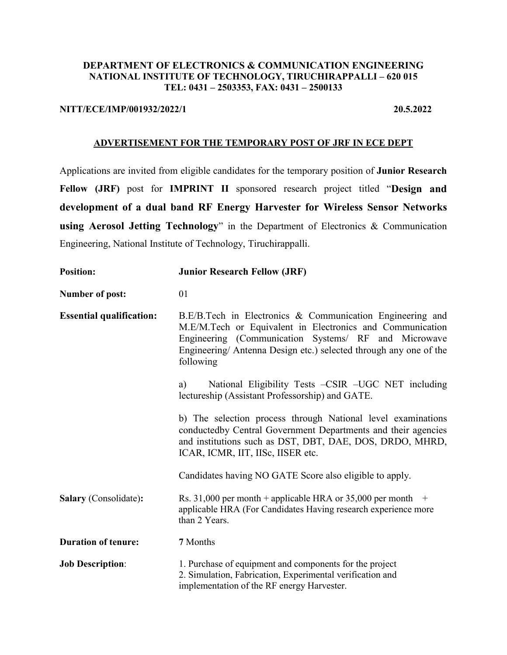### **DEPARTMENT OF ELECTRONICS & COMMUNICATION ENGINEERING NATIONAL INSTITUTE OF TECHNOLOGY, TIRUCHIRAPPALLI – 620 015 TEL: 0431 – 2503353, FAX: 0431 – 2500133**

### **NITT/ECE/IMP/001932/2022/1 20.5.2022**

### **ADVERTISEMENT FOR THE TEMPORARY POST OF JRF IN ECE DEPT**

Applications are invited from eligible candidates for the temporary position of **Junior Research Fellow (JRF)** post for **IMPRINT II** sponsored research project titled "**Design and development of a dual band RF Energy Harvester for Wireless Sensor Networks using Aerosol Jetting Technology**" in the Department of Electronics & Communication Engineering, National Institute of Technology, Tiruchirappalli.

| <b>Position:</b>                | <b>Junior Research Fellow (JRF)</b>                                                                                                                                                                                                                              |  |  |
|---------------------------------|------------------------------------------------------------------------------------------------------------------------------------------------------------------------------------------------------------------------------------------------------------------|--|--|
| <b>Number of post:</b>          | 01                                                                                                                                                                                                                                                               |  |  |
| <b>Essential qualification:</b> | B.E/B.Tech in Electronics & Communication Engineering and<br>M.E/M.Tech or Equivalent in Electronics and Communication<br>Engineering (Communication Systems/ RF and Microwave<br>Engineering/ Antenna Design etc.) selected through any one of the<br>following |  |  |
|                                 | National Eligibility Tests - CSIR - UGC NET including<br>a)<br>lectureship (Assistant Professorship) and GATE.                                                                                                                                                   |  |  |
|                                 | b) The selection process through National level examinations<br>conductedby Central Government Departments and their agencies<br>and institutions such as DST, DBT, DAE, DOS, DRDO, MHRD,<br>ICAR, ICMR, IIT, IISc, IISER etc.                                   |  |  |
|                                 | Candidates having NO GATE Score also eligible to apply.                                                                                                                                                                                                          |  |  |
| Salary (Consolidate):           | Rs. 31,000 per month + applicable HRA or 35,000 per month $+$<br>applicable HRA (For Candidates Having research experience more<br>than 2 Years.                                                                                                                 |  |  |
| <b>Duration of tenure:</b>      | 7 Months                                                                                                                                                                                                                                                         |  |  |
| <b>Job Description:</b>         | 1. Purchase of equipment and components for the project<br>2. Simulation, Fabrication, Experimental verification and<br>implementation of the RF energy Harvester.                                                                                               |  |  |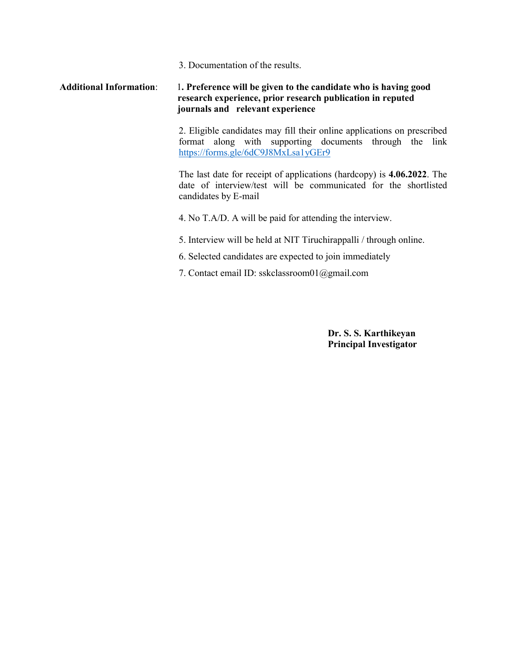3. Documentation of the results.

### **Additional Information**: 1**. Preference will be given to the candidate who is having good research experience, prior research publication in reputed journals and relevant experience**

2. Eligible candidates may fill their online applications on prescribed format along with supporting documents through the link https://forms.gle/6dC9J8MxLsa1yGEr9

The last date for receipt of applications (hardcopy) is **4.06.2022**. The date of interview/test will be communicated for the shortlisted candidates by E-mail

4. No T.A/D. A will be paid for attending the interview.

- 5. Interview will be held at NIT Tiruchirappalli / through online.
- 6. Selected candidates are expected to join immediately
- 7. Contact email ID: sskclassroom01@gmail.com

**Dr. S. S. Karthikeyan Principal Investigator**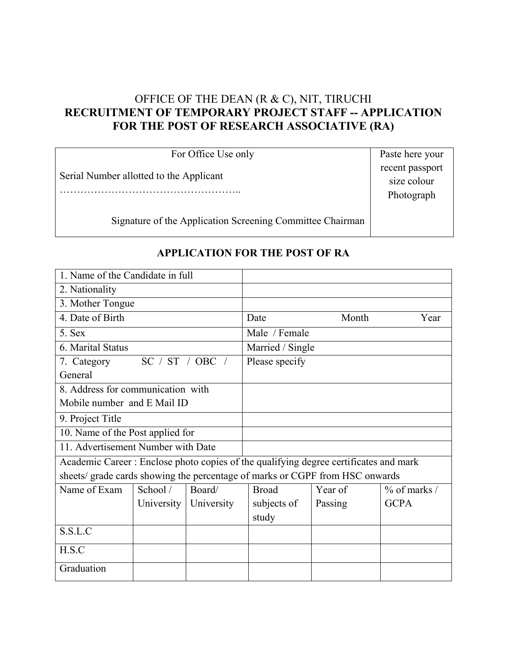# OFFICE OF THE DEAN (R & C), NIT, TIRUCHI **RECRUITMENT OF TEMPORARY PROJECT STAFF -- APPLICATION FOR THE POST OF RESEARCH ASSOCIATIVE (RA)**

For Office Use only Serial Number allotted to the Applicant …………………………………………… Paste here your recent passport size colour Photograph

Signature of the Application Screening Committee Chairman

| 1. Name of the Candidate in full                                                      |                 |            |                  |         |                 |
|---------------------------------------------------------------------------------------|-----------------|------------|------------------|---------|-----------------|
|                                                                                       |                 |            |                  |         |                 |
| 2. Nationality                                                                        |                 |            |                  |         |                 |
| 3. Mother Tongue                                                                      |                 |            |                  |         |                 |
| 4. Date of Birth                                                                      |                 |            | Date             | Month   | Year            |
| 5. Sex                                                                                |                 |            | Male / Female    |         |                 |
| 6. Marital Status                                                                     |                 |            | Married / Single |         |                 |
| 7. Category                                                                           | SC / ST / OBC / |            | Please specify   |         |                 |
| General                                                                               |                 |            |                  |         |                 |
| 8. Address for communication with                                                     |                 |            |                  |         |                 |
| Mobile number and E Mail ID                                                           |                 |            |                  |         |                 |
| 9. Project Title                                                                      |                 |            |                  |         |                 |
| 10. Name of the Post applied for                                                      |                 |            |                  |         |                 |
| 11. Advertisement Number with Date                                                    |                 |            |                  |         |                 |
| Academic Career : Enclose photo copies of the qualifying degree certificates and mark |                 |            |                  |         |                 |
| sheets/ grade cards showing the percentage of marks or CGPF from HSC onwards          |                 |            |                  |         |                 |
| Name of Exam                                                                          | School /        | Board/     | <b>Broad</b>     | Year of | $\%$ of marks / |
|                                                                                       | University      | University | subjects of      | Passing | <b>GCPA</b>     |
|                                                                                       |                 |            | study            |         |                 |
| S.S.L.C                                                                               |                 |            |                  |         |                 |
| H.S.C                                                                                 |                 |            |                  |         |                 |
| Graduation                                                                            |                 |            |                  |         |                 |

# **APPLICATION FOR THE POST OF RA**